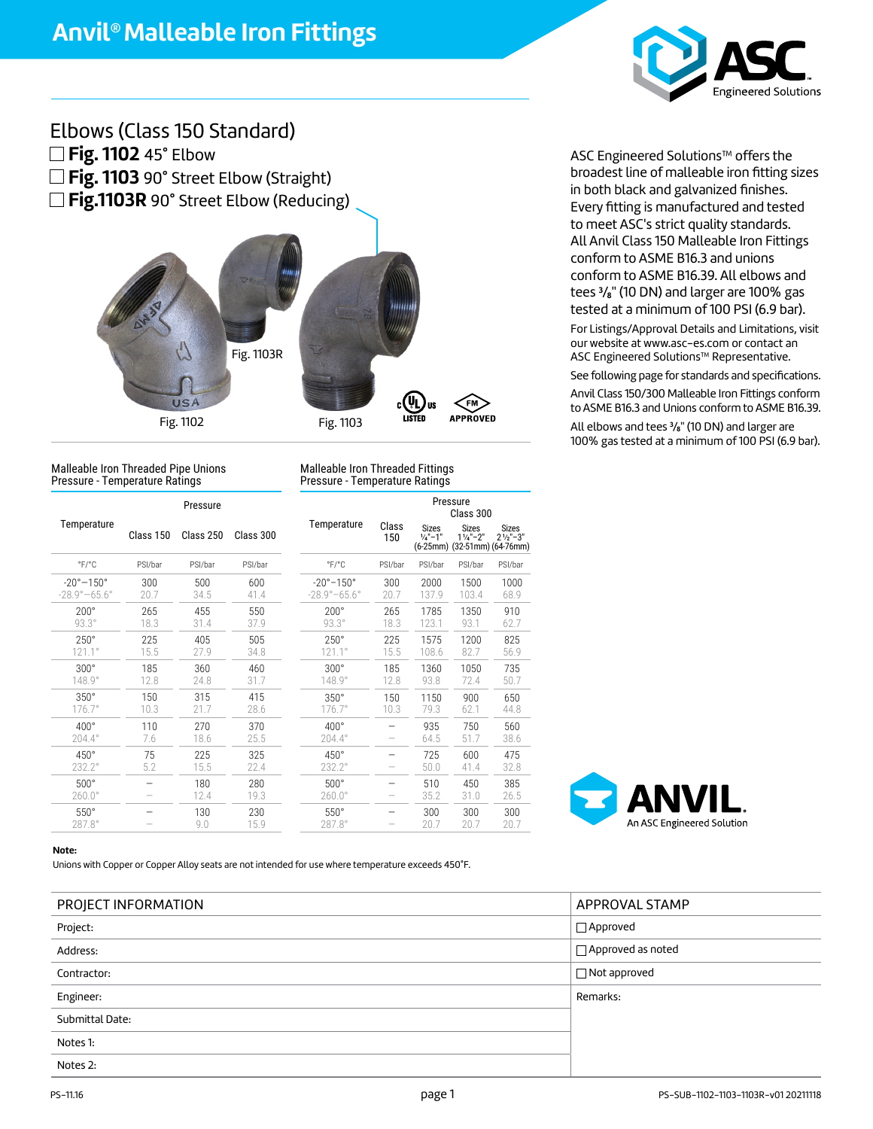

## Elbows (Class 150 Standard) **Fig. 1102** 45° Elbow **Fig. 1103** 90° Street Elbow (Straight) **Fig.1103R** 90° Street Elbow (Reducing)



Malleable Iron Threaded Pipe Unions Pressure - Temperature Ratings

Malleable Iron Threaded Fittings Pressure - Temperature Ratings

|                                                             | Pressure               |             |             |                                                             |                                | Pressure<br>Class 300 |                                    |                                     |                                                                     |  |
|-------------------------------------------------------------|------------------------|-------------|-------------|-------------------------------------------------------------|--------------------------------|-----------------------|------------------------------------|-------------------------------------|---------------------------------------------------------------------|--|
| Temperature                                                 | Class 150<br>Class 250 |             | Class 300   |                                                             | Temperature                    | Class<br>150          | <b>Sizes</b><br>$\frac{1}{4}$ "-1" | <b>Sizes</b><br>$1\frac{1}{4}$ "-2" | <b>Sizes</b><br>$2\frac{1}{2}$ "-3"<br>(6-25mm) (32-51mm) (64-76mm) |  |
| $\degree$ F/ $\degree$ C                                    | PSI/bar                | PSI/bar     | PSI/bar     |                                                             | $\degree$ F/ $\degree$ C       | PSI/bar               | PSI/bar                            | PSI/bar                             | PSI/bar                                                             |  |
| $-20^{\circ}-150^{\circ}$<br>$-28.9^{\circ} - 65.6^{\circ}$ | 300<br>20.7            | 500<br>34.5 | 600<br>41.4 | $-20^{\circ}-150^{\circ}$<br>$-28.9^{\circ} - 65.6^{\circ}$ |                                | 300<br>20.7           | 2000<br>137.9                      | 1500<br>103.4                       | 1000<br>68.9                                                        |  |
| $200^\circ$<br>$93.3^\circ$                                 | 265<br>18.3            | 455<br>31.4 | 550<br>37.9 | $200^\circ$                                                 | $93.3^\circ$                   | 265<br>18.3           | 1785<br>123.1                      | 1350<br>93.1                        | 910<br>62.7                                                         |  |
| $250^\circ$<br>$121.1^{\circ}$                              | 225<br>15.5            | 405<br>27.9 | 505<br>34.8 |                                                             | $250^\circ$<br>$121.1^{\circ}$ | 225<br>15.5           | 1575<br>108.6                      | 1200<br>82.7                        | 825<br>56.9                                                         |  |
| $300^\circ$<br>148.9°                                       | 185<br>12.8            | 360<br>24.8 | 460<br>31.7 |                                                             | $300^\circ$<br>148.9°          | 185<br>12.8           | 1360<br>93.8                       | 1050<br>72.4                        | 735<br>50.7                                                         |  |
| $350^\circ$<br>$176.7^\circ$                                | 150<br>10.3            | 315<br>21.7 | 415<br>28.6 |                                                             | $350^\circ$<br>$176.7^\circ$   | 150<br>10.3           | 1150<br>79.3                       | 900<br>62.1                         | 650<br>44.8                                                         |  |
| $400^\circ$<br>204.4°                                       | 110<br>7.6             | 270<br>18.6 | 370<br>25.5 | $400^\circ$                                                 | 204.4°                         | -                     | 935<br>64.5                        | 750<br>51.7                         | 560<br>38.6                                                         |  |
| 450°<br>232.2°                                              | 75<br>5.2              | 225<br>15.5 | 325<br>22.4 | $450^\circ$                                                 | 232.2°                         | -<br>-                | 725<br>50.0                        | 600<br>41.4                         | 475<br>32.8                                                         |  |
| $500^\circ$<br>$260.0^\circ$                                |                        | 180<br>12.4 | 280<br>19.3 |                                                             | $500^\circ$<br>$260.0^\circ$   |                       | 510<br>35.2                        | 450<br>31.0                         | 385<br>26.5                                                         |  |
| $550^\circ$<br>287.8°                                       |                        | 130<br>9.0  | 230<br>15.9 |                                                             | $550^\circ$<br>$287.8^\circ$   |                       | 300<br>20.7                        | 300<br>20.7                         | 300<br>20.7                                                         |  |
|                                                             |                        |             |             |                                                             |                                |                       |                                    |                                     |                                                                     |  |

ASC Engineered Solutions™ offers the broadest line of malleable iron fitting sizes in both black and galvanized finishes. Every fitting is manufactured and tested to meet ASC's strict quality standards. All Anvil Class 150 Malleable Iron Fittings conform to ASME B16.3 and unions conform to ASME B16.39. All elbows and tees **<sup>3</sup>** /**8**" (10 DN) and larger are 100% gas tested at a minimum of 100 PSI (6.9 bar). For Listings/Approval Details and Limitations, visit our website at www.asc-es.com or contact an ASC Engineered Solutions™ Representative. See following page for standards and specifications. Anvil Class 150/300 Malleable Iron Fittings conform to ASME B16.3 and Unions conform to ASME B16.39.

All elbows and tees **<sup>3</sup>** /**8**" (10 DN) and larger are 100% gas tested at a minimum of 100 PSI (6.9 bar).



#### **Note:**

Unions with Copper or Copper Alloy seats are not intended for use where temperature exceeds 450°F.

| PROJECT INFORMATION | APPROVAL STAMP      |
|---------------------|---------------------|
| Project:            | $\Box$ Approved     |
| Address:            | □ Approved as noted |
| Contractor:         | $\Box$ Not approved |
| Engineer:           | Remarks:            |
| Submittal Date:     |                     |
| Notes 1:            |                     |
| Notes 2:            |                     |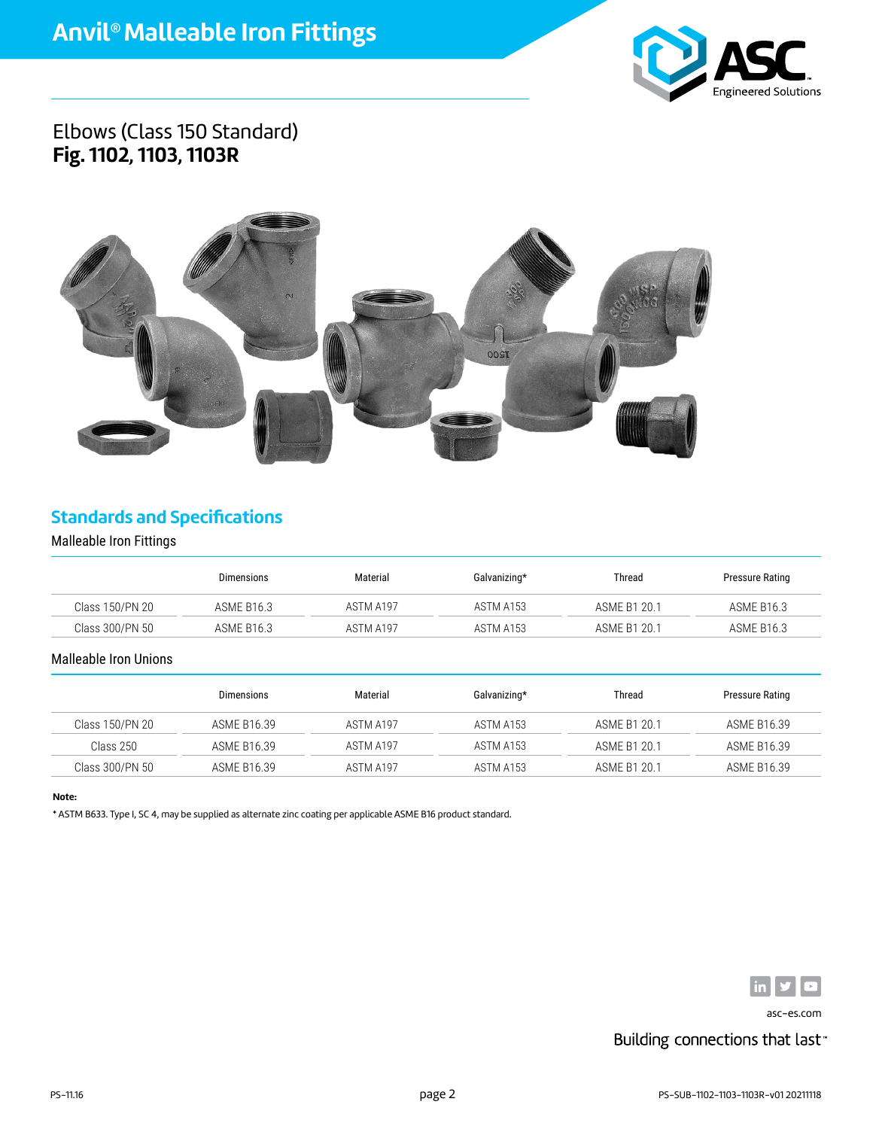

## Elbows (Class 150 Standard) **Fig. 1102, 1103, 1103R**



## **Standards and Specifications**

### Malleable Iron Fittings

|                 | <b>Dimensions</b> | Material  | Galvanizing* | Thread       | Pressure Rating   |
|-----------------|-------------------|-----------|--------------|--------------|-------------------|
| Class 150/PN 20 | ASME B16.3        | ASTM A197 | ASTM A153    | ASME B1 20.1 | ASME B16.3        |
| Class 300/PN 50 | ASME B16.3        | ASTM A197 | ASTM A153    | ASME B1 20.1 | <b>ASME B16.3</b> |

### Malleable Iron Unions

|                 | Dimensions  | Material  | Galvanizing* | Thread       | Pressure Rating |
|-----------------|-------------|-----------|--------------|--------------|-----------------|
| Class 150/PN 20 | ASME B16.39 | ASTM A197 | ASTM A153    | ASME B1 20.1 | ASME B16.39     |
| Class 250       | ASME B16.39 | ASTM A197 | ASTM A153    | ASME B1 20.1 | ASME B16.39     |
| Class 300/PN 50 | ASME B16.39 | ASTM A197 | ASTM A153    | ASME B1 20.1 | ASME B16.39     |

### **Note:**

\* ASTM B633. Type I, SC 4, may be supplied as alternate zinc coating per applicable ASME B16 product standard.



asc-es.com

## Building connections that last<sup>®</sup>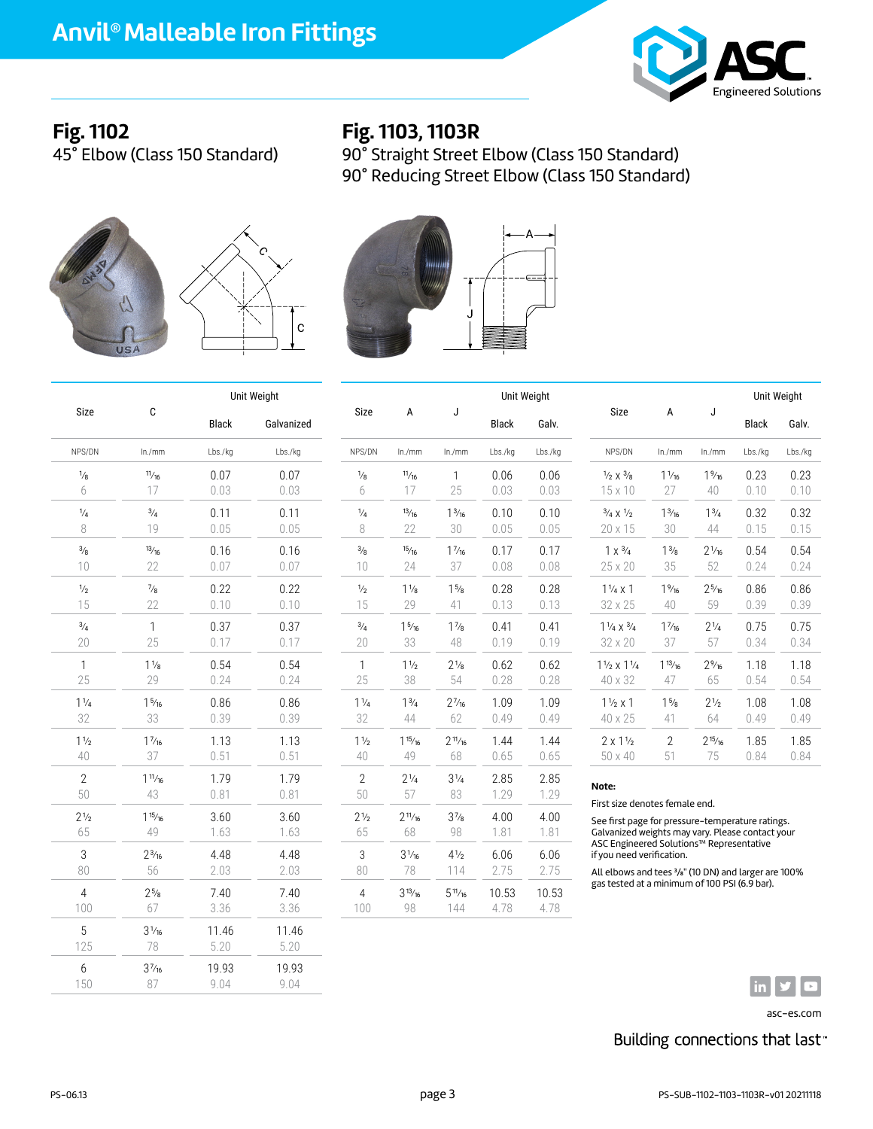

# **Fig. 1102**

45° Elbow (Class 150 Standard)

## **Fig. 1103, 1103R**

90° Straight Street Elbow (Class 150 Standard) 90° Reducing Street Elbow (Class 150 Standard)







|                      |                   | Unit Weight  |              |                       |                          |                       | Unit Weight   |               |                                                                                                                                                                                                                                                                         |                 |                 | Unit Weight  |         |
|----------------------|-------------------|--------------|--------------|-----------------------|--------------------------|-----------------------|---------------|---------------|-------------------------------------------------------------------------------------------------------------------------------------------------------------------------------------------------------------------------------------------------------------------------|-----------------|-----------------|--------------|---------|
| Size                 | C                 | <b>Black</b> | Galvanized   | Size                  | А                        | J                     | <b>Black</b>  | Galv.         | Size                                                                                                                                                                                                                                                                    | Α               | J               | <b>Black</b> | Galv.   |
| NPS/DN               | ln./mm            | Lbs./kg      | Lbs./kg      | NPS/DN                | ln./mm                   | ln./mm                | Lbs./kg       | Lbs./kg       | NPS/DN                                                                                                                                                                                                                                                                  | ln./mm          | ln./mm          | Lbs./kg      | Lbs./kg |
| $\frac{1}{8}$        | 11/16             | 0.07         | 0.07         | $\frac{1}{8}$         | 11/16                    | $\mathbf{1}$          | 0.06          | 0.06          | $\frac{1}{2} \times \frac{3}{8}$                                                                                                                                                                                                                                        | $1\frac{1}{16}$ | $1\frac{9}{16}$ | 0.23         | 0.23    |
| 6                    | 17                | 0.03         | 0.03         | 6                     | 17                       | 25                    | 0.03          | 0.03          | $15 \times 10$                                                                                                                                                                                                                                                          | 27              | 40              | 0.10         | 0.10    |
| $\frac{1}{4}$        | $^{3/4}$          | 0.11         | 0.11         | $\frac{1}{4}$         | 13/16                    | $1\frac{3}{16}$       | 0.10          | 0.10          | $\frac{3}{4} \times \frac{1}{2}$                                                                                                                                                                                                                                        | $1\frac{3}{16}$ | $1^{3/4}$       | 0.32         | 0.32    |
| 8                    | 19                | 0.05         | 0.05         | 8                     | 22                       | 30                    | 0.05          | 0.05          | 20 x 15                                                                                                                                                                                                                                                                 | 30              | 44              | 0.15         | 0.15    |
| $\frac{3}{8}$        | 13/16             | 0.16         | 0.16         | $\frac{3}{8}$         | 15/16                    | $1\frac{7}{16}$       | 0.17          | 0.17          | $1 \times \frac{3}{4}$                                                                                                                                                                                                                                                  | $1^{3/8}$       | $2^{1/16}$      | 0.54         | 0.54    |
| 10 <sup>1</sup>      | 22                | 0.07         | 0.07         | 10                    | 24                       | 37                    | 0.08          | 0.08          | 25 x 20                                                                                                                                                                                                                                                                 | 35              | 52              | 0.24         | 0.24    |
| $\frac{1}{2}$        | $\frac{7}{8}$     | 0.22         | 0.22         | $\frac{1}{2}$         | $1\frac{1}{8}$           | $1\frac{5}{8}$        | 0.28          | 0.28          | $1\frac{1}{4}x1$                                                                                                                                                                                                                                                        | $1\frac{9}{16}$ | $2\frac{5}{16}$ | 0.86         | 0.86    |
| 15                   | 22                | 0.10         | 0.10         | 15                    | 29                       | 41                    | 0.13          | 0.13          | 32 x 25                                                                                                                                                                                                                                                                 | 40              | 59              | 0.39         | 0.39    |
| $^{3/4}$             | $\mathbf{1}$      | 0.37         | 0.37         | $^{3/4}$              | $1\frac{5}{16}$          | $1\frac{7}{8}$        | 0.41          | 0.41          | $1\frac{1}{4} \times \frac{3}{4}$                                                                                                                                                                                                                                       | $1\frac{7}{16}$ | $2\frac{1}{4}$  | 0.75         | 0.75    |
| 20                   | 25                | 0.17         | 0.17         | 20                    | 33                       | 48                    | 0.19          | 0.19          | 32 x 20                                                                                                                                                                                                                                                                 | 37              | 57              | 0.34         | 0.34    |
| $\mathbf{1}$         | $1\frac{1}{8}$    | 0.54         | 0.54         | 1                     | $1\frac{1}{2}$           | $2^{1/8}$             | 0.62          | 0.62          | $1\frac{1}{2} \times 1\frac{1}{4}$                                                                                                                                                                                                                                      | $1^{13/16}$     | $2\frac{9}{16}$ | 1.18         | 1.18    |
| 25                   | 29                | 0.24         | 0.24         | 25                    | 38                       | 54                    | 0.28          | 0.28          | 40 x 32                                                                                                                                                                                                                                                                 | 47              | 65              | 0.54         | 0.54    |
| $1\frac{1}{4}$       | $1\frac{5}{16}$   | 0.86         | 0.86         | $1\frac{1}{4}$        | $1^{3/4}$                | $2^{7/16}$            | 1.09          | 1.09          | $1\frac{1}{2}x1$                                                                                                                                                                                                                                                        | $1\frac{5}{8}$  | $2\frac{1}{2}$  | 1.08         | 1.08    |
| 32                   | 33                | 0.39         | 0.39         | 32                    | 44                       | 62                    | 0.49          | 0.49          | 40 x 25                                                                                                                                                                                                                                                                 | 41              | 64              | 0.49         | 0.49    |
| $1\frac{1}{2}$       | $1\frac{7}{16}$   | 1.13         | 1.13         | $1\frac{1}{2}$        | $1\frac{15}{16}$         | $2^{11}/_{16}$        | 1.44          | 1.44          | $2 \times 1\frac{1}{2}$                                                                                                                                                                                                                                                 | $\mathbf{2}$    | $2^{15}/_{16}$  | 1.85         | 1.85    |
| 40                   | 37                | 0.51         | 0.51         | 40                    | 49                       | 68                    | 0.65          | 0.65          | 50 x 40                                                                                                                                                                                                                                                                 | 51              | 75              | 0.84         | 0.84    |
| $\overline{2}$<br>50 | $1^{11/16}$<br>43 | 1.79<br>0.81 | 1.79<br>0.81 | $\overline{2}$<br>50  | $2\frac{1}{4}$<br>57     | $3\frac{1}{4}$<br>83  | 2.85<br>1.29  | 2.85<br>1.29  | Note:                                                                                                                                                                                                                                                                   |                 |                 |              |         |
| $2\frac{1}{2}$<br>65 | 115/16<br>49      | 3.60<br>1.63 | 3.60<br>1.63 | $2\frac{1}{2}$<br>65  | $2^{11/16}$<br>68        | $3^{7}_{8}$<br>98     | 4.00<br>1.81  | 4.00<br>1.81  | First size denotes female end.<br>See first page for pressure-temperature ratings.<br>Galvanized weights may vary. Please contact your<br>ASC Engineered Solutions™ Representative<br>if you need verification.<br>All elbows and tees 3/8" (10 DN) and larger are 100% |                 |                 |              |         |
| 3<br>80              | $2^{3/16}$<br>56  | 4.48<br>2.03 | 4.48<br>2.03 | 3<br>80               | 3 <sup>1</sup> /16<br>78 | $4\frac{1}{2}$<br>114 | 6.06<br>2.75  | 6.06<br>2.75  |                                                                                                                                                                                                                                                                         |                 |                 |              |         |
| 4<br>100             | $2^{5/8}$<br>67   | 7.40<br>3.36 | 7.40<br>3.36 | $\overline{4}$<br>100 | $3^{13/16}$<br>98        | $5^{11}/_{16}$<br>144 | 10.53<br>4.78 | 10.53<br>4.78 | gas tested at a minimum of 100 PSI (6.9 bar).                                                                                                                                                                                                                           |                 |                 |              |         |



asc-es.com

## Building connections that last<sup>®</sup>

 $\frac{5}{125}$   $\frac{3^{1/16}}{78}$   $\frac{11.46}{5.20}$   $\frac{11.46}{5.20}$ 

6 37/16 19.93 19.93 150 87 9.04 9.04

125 78 5.20 5.20